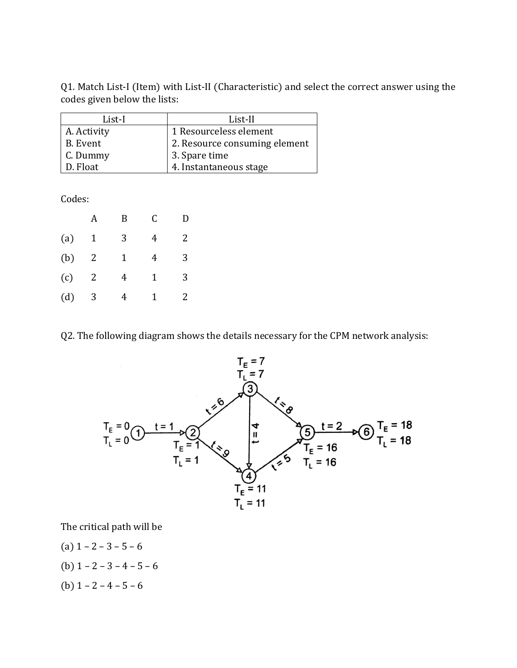Q1. Match List-I (Item) with List-II (Characteristic) and select the correct answer using the codes given below the lists:

| List-I      | List-II                       |
|-------------|-------------------------------|
| A. Activity | 1 Resourceless element        |
| B. Event    | 2. Resource consuming element |
| C. Dummy    | 3. Spare time                 |
| D. Float    | 4. Instantaneous stage        |

Codes:

|     |   | B | C | D |
|-----|---|---|---|---|
| (a) | 1 | 3 | 4 | 2 |
| (b) | 2 | 1 | 4 | 3 |
| (c) | 2 | 4 | 1 | 3 |
| (d) | 3 | 4 | 1 | 2 |

Q2. The following diagram shows the details necessary for the CPM network analysis:



The critical path will be

- (a)  $1 2 3 5 6$
- (b)  $1 2 3 4 5 6$
- (b)  $1 2 4 5 6$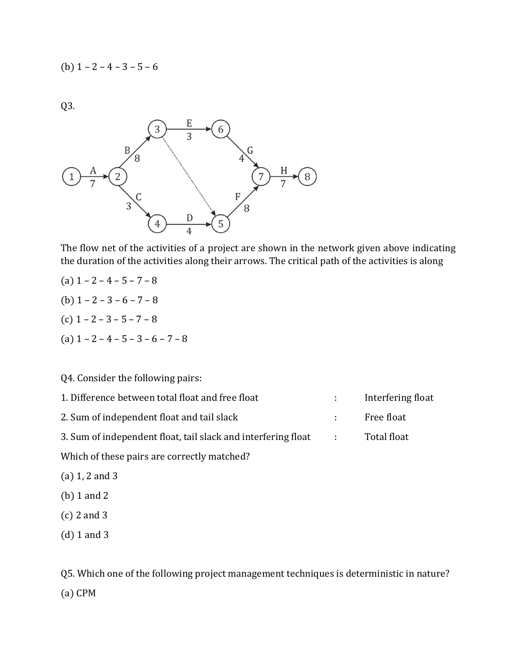(b)  $1 - 2 - 4 - 3 - 5 - 6$ 

Q3.



The flow net of the activities of a project are shown in the network given above indicating the duration of the activities along their arrows. The critical path of the activities is along

- (a)  $1 2 4 5 7 8$
- (b)  $1 2 3 6 7 8$
- (c)  $1 2 3 5 7 8$
- (a)  $1 2 4 5 3 6 7 8$

#### Q4. Consider the following pairs:

| 1. Difference between total float and free float              |             | Interfering float |
|---------------------------------------------------------------|-------------|-------------------|
| 2. Sum of independent float and tail slack                    |             | Free float        |
| 3. Sum of independent float, tail slack and interfering float | $\sim 1000$ | Total float       |

Which of these pairs are correctly matched?

- (a) 1, 2 and 3
- (b) 1 and 2
- (c) 2 and 3
- (d) 1 and 3

Q5. Which one of the following project management techniques is deterministic in nature? (a) CPM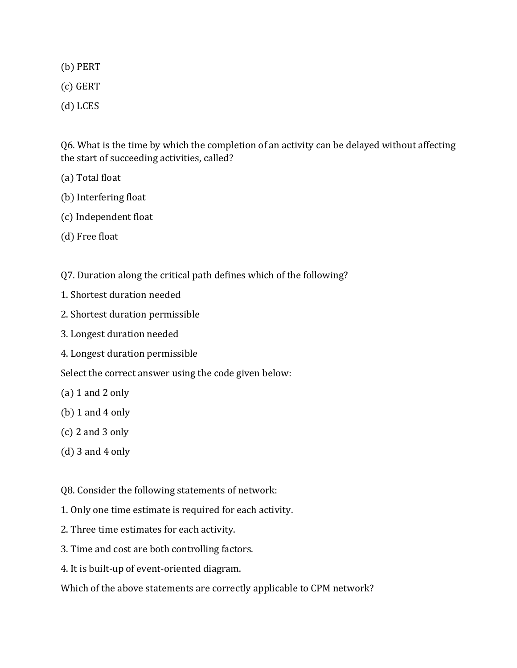(b) PERT

- (c) GERT
- (d) LCES

Q6. What is the time by which the completion of an activity can be delayed without affecting the start of succeeding activities, called?

- (a) Total float
- (b) Interfering float
- (c) Independent float
- (d) Free float
- Q7. Duration along the critical path defines which of the following?
- 1. Shortest duration needed
- 2. Shortest duration permissible
- 3. Longest duration needed
- 4. Longest duration permissible

Select the correct answer using the code given below:

- (a) 1 and 2 only
- (b) 1 and 4 only
- (c) 2 and 3 only
- (d) 3 and 4 only

Q8. Consider the following statements of network:

- 1. Only one time estimate is required for each activity.
- 2. Three time estimates for each activity.
- 3. Time and cost are both controlling factors.
- 4. It is built-up of event-oriented diagram.

Which of the above statements are correctly applicable to CPM network?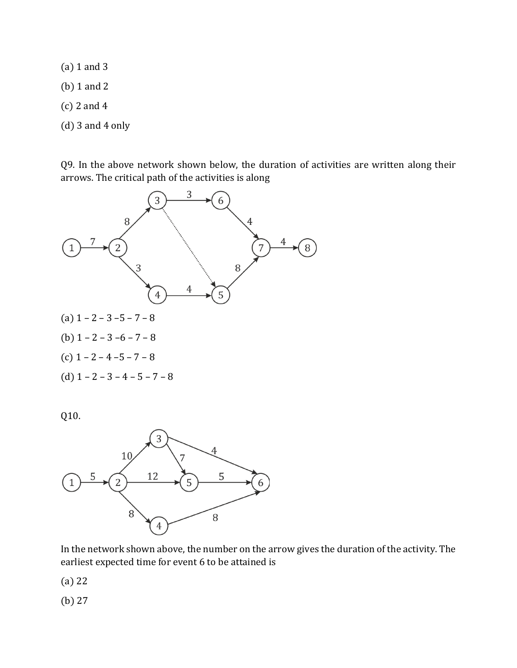- (a) 1 and 3
- (b) 1 and 2
- (c) 2 and 4
- (d) 3 and 4 only

Q9. In the above network shown below, the duration of activities are written along their arrows. The critical path of the activities is along



Q10.



In the network shown above, the number on the arrow gives the duration of the activity. The earliest expected time for event 6 to be attained is

(a) 22

(b) 27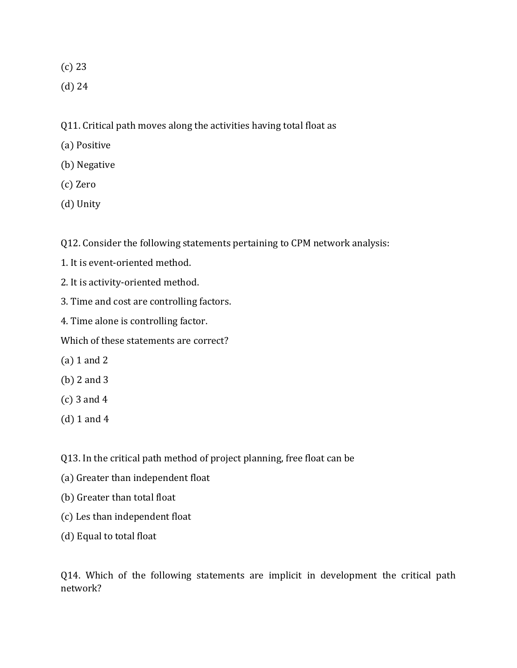(c) 23

- (d) 24
- Q11. Critical path moves along the activities having total float as
- (a) Positive
- (b) Negative
- (c) Zero
- (d) Unity

Q12. Consider the following statements pertaining to CPM network analysis:

- 1. It is event-oriented method.
- 2. It is activity-oriented method.
- 3. Time and cost are controlling factors.
- 4. Time alone is controlling factor.

Which of these statements are correct?

- (a) 1 and 2
- (b) 2 and 3
- (c) 3 and 4
- (d) 1 and 4
- Q13. In the critical path method of project planning, free float can be
- (a) Greater than independent float
- (b) Greater than total float
- (c) Les than independent float
- (d) Equal to total float

Q14. Which of the following statements are implicit in development the critical path network?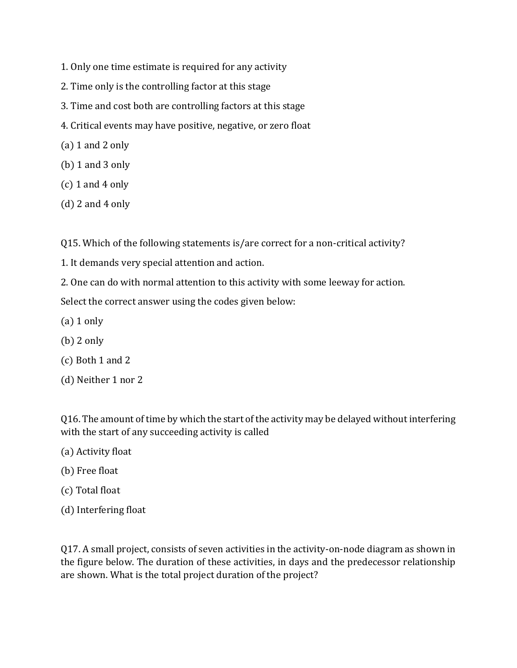- 1. Only one time estimate is required for any activity
- 2. Time only is the controlling factor at this stage
- 3. Time and cost both are controlling factors at this stage
- 4. Critical events may have positive, negative, or zero float
- (a) 1 and 2 only
- (b) 1 and 3 only
- $(c)$  1 and 4 only
- $(d)$  2 and 4 only

Q15. Which of the following statements is/are correct for a non-critical activity?

- 1. It demands very special attention and action.
- 2. One can do with normal attention to this activity with some leeway for action.

Select the correct answer using the codes given below:

- $(a)$  1 only
- (b) 2 only
- (c) Both 1 and 2
- (d) Neither 1 nor 2

Q16. The amount of time by which the start of the activity may be delayed without interfering with the start of any succeeding activity is called

- (a) Activity float
- (b) Free float
- (c) Total float
- (d) Interfering float

Q17. A small project, consists of seven activities in the activity-on-node diagram as shown in the figure below. The duration of these activities, in days and the predecessor relationship are shown. What is the total project duration of the project?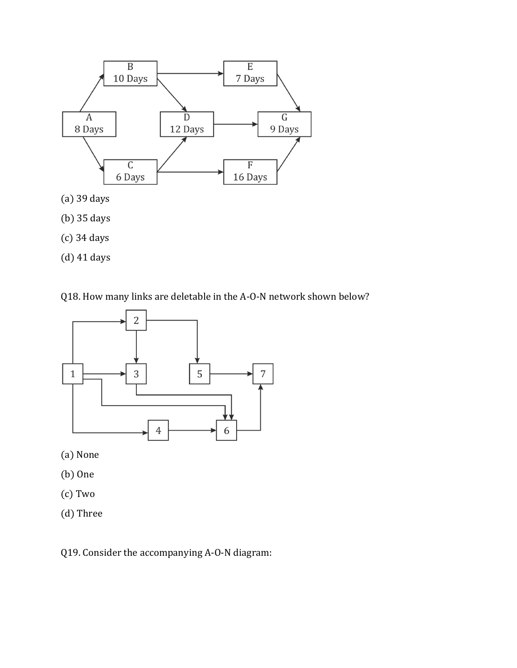

- (b) 35 days
- (c) 34 days
- (d) 41 days

Q18. How many links are deletable in the A-O-N network shown below?



- (a) None
- (b) One
- (c) Two
- (d) Three

Q19. Consider the accompanying A-O-N diagram: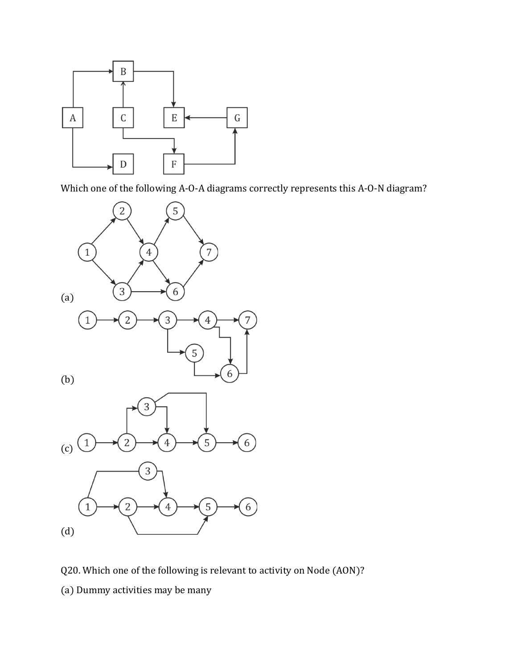

Which one of the following A-O-A diagrams correctly represents this A-O-N diagram?



Q20. Which one of the following is relevant to activity on Node (AON)?

(a) Dummy activities may be many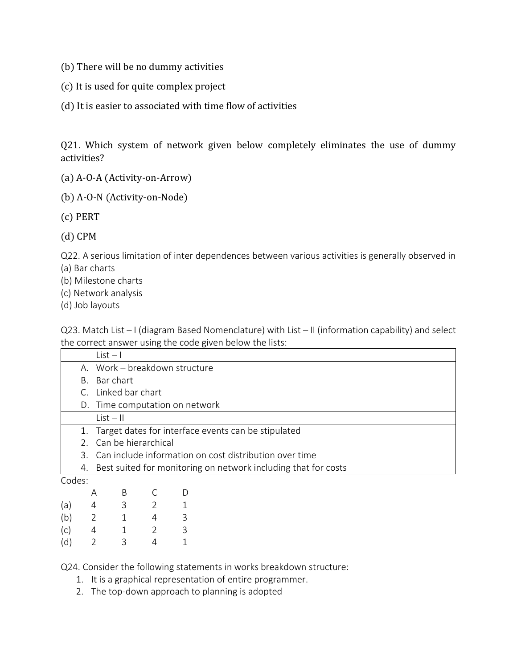- (b) There will be no dummy activities
- (c) It is used for quite complex project
- (d) It is easier to associated with time flow of activities

Q21. Which system of network given below completely eliminates the use of dummy activities?

- (a) A-O-A (Activity-on-Arrow)
- (b) A-O-N (Activity-on-Node)
- (c) PERT
- (d) CPM

Q22. A serious limitation of inter dependences between various activities is generally observed in

(a) Bar charts

- (b) Milestone charts
- (c) Network analysis
- (d) Job layouts

Q23. Match List – I (diagram Based Nomenclature) with List – II (information capability) and select the correct answer using the code given below the lists:

|        |                                                                      | $List - 1$                     |  |  |
|--------|----------------------------------------------------------------------|--------------------------------|--|--|
|        |                                                                      | A. Work - breakdown structure  |  |  |
|        |                                                                      | B. Bar chart                   |  |  |
|        |                                                                      | C. Linked bar chart            |  |  |
|        |                                                                      | D. Time computation on network |  |  |
|        |                                                                      | $List - II$                    |  |  |
|        | 1. Target dates for interface events can be stipulated               |                                |  |  |
|        | 2. Can be hierarchical                                               |                                |  |  |
|        | 3. Can include information on cost distribution over time            |                                |  |  |
|        | Best suited for monitoring on network including that for costs<br>4. |                                |  |  |
| Codes: |                                                                      |                                |  |  |
|        | Α                                                                    | B                              |  |  |
|        |                                                                      |                                |  |  |

|     | А            | В | С | D |
|-----|--------------|---|---|---|
| (a) | 4            | 3 | 2 | 1 |
| (b) | 2            | 1 | 4 | 3 |
| (c) | 4            | 1 | 2 | 3 |
| (d) | $\mathbf{2}$ | 3 | 4 | 1 |

Q24. Consider the following statements in works breakdown structure:

- 1. It is a graphical representation of entire programmer.
- 2. The top-down approach to planning is adopted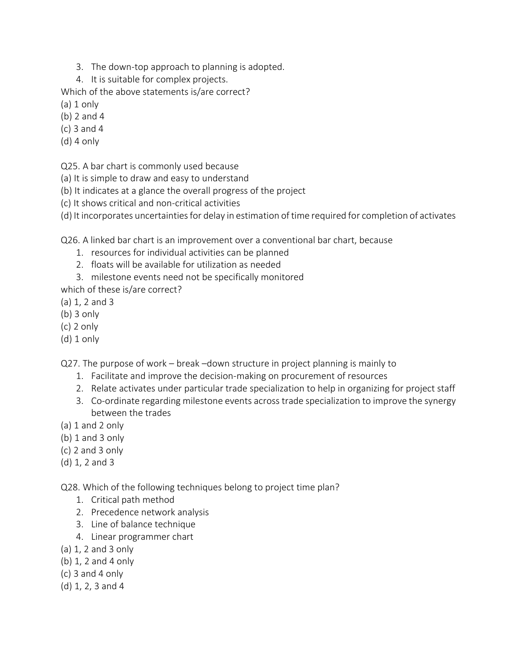- 3. The down-top approach to planning is adopted.
- 4. It is suitable for complex projects.

Which of the above statements is/are correct?

- (a) 1 only
- (b) 2 and 4
- (c) 3 and 4
- (d) 4 only

Q25. A bar chart is commonly used because

- (a) It is simple to draw and easy to understand
- (b) It indicates at a glance the overall progress of the project
- (c) It shows critical and non-critical activities
- (d) It incorporates uncertainties for delay in estimation of time required for completion of activates

Q26. A linked bar chart is an improvement over a conventional bar chart, because

- 1. resources for individual activities can be planned
- 2. floats will be available for utilization as needed
- 3. milestone events need not be specifically monitored
- which of these is/are correct?
- (a) 1, 2 and 3
- (b) 3 only
- (c) 2 only
- (d) 1 only

Q27. The purpose of work – break –down structure in project planning is mainly to

- 1. Facilitate and improve the decision-making on procurement of resources
- 2. Relate activates under particular trade specialization to help in organizing for project staff
- 3. Co-ordinate regarding milestone events across trade specialization to improve the synergy between the trades
- $(a) 1$  and 2 only
- (b) 1 and 3 only
- (c) 2 and 3 only
- (d) 1, 2 and 3

Q28. Which of the following techniques belong to project time plan?

- 1. Critical path method
- 2. Precedence network analysis
- 3. Line of balance technique
- 4. Linear programmer chart
- (a) 1, 2 and 3 only
- (b) 1, 2 and 4 only
- (c) 3 and 4 only
- (d) 1, 2, 3 and 4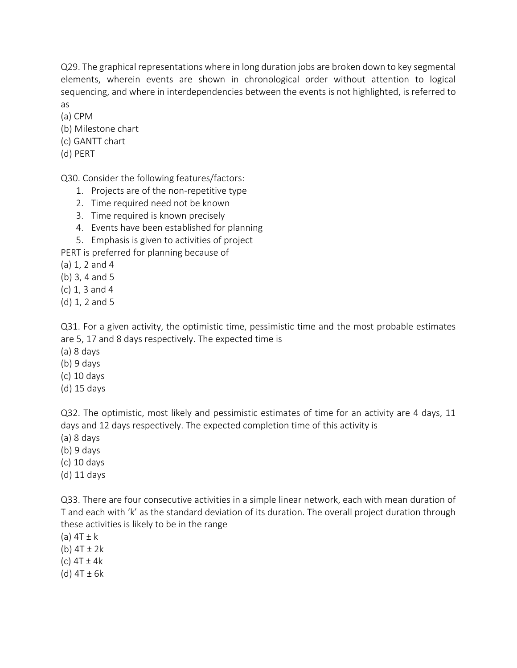Q29. The graphical representations where in long duration jobs are broken down to key segmental elements, wherein events are shown in chronological order without attention to logical sequencing, and where in interdependencies between the events is not highlighted, is referred to as

(a) CPM

- (b) Milestone chart
- (c) GANTT chart
- (d) PERT

Q30. Consider the following features/factors:

- 1. Projects are of the non-repetitive type
- 2. Time required need not be known
- 3. Time required is known precisely
- 4. Events have been established for planning
- 5. Emphasis is given to activities of project

PERT is preferred for planning because of

(a) 1, 2 and 4

- (b) 3, 4 and 5
- (c) 1, 3 and 4
- (d) 1, 2 and 5

Q31. For a given activity, the optimistic time, pessimistic time and the most probable estimates are 5, 17 and 8 days respectively. The expected time is

- (a) 8 days
- (b) 9 days
- (c) 10 days
- (d) 15 days

Q32. The optimistic, most likely and pessimistic estimates of time for an activity are 4 days, 11 days and 12 days respectively. The expected completion time of this activity is

- (a) 8 days
- (b) 9 days
- (c) 10 days
- (d) 11 days

Q33. There are four consecutive activities in a simple linear network, each with mean duration of T and each with 'k' as the standard deviation of its duration. The overall project duration through these activities is likely to be in the range

- (a)  $4T \pm k$
- (b)  $4T \pm 2k$
- (c) 4T ± 4k
- (d) 4T ± 6k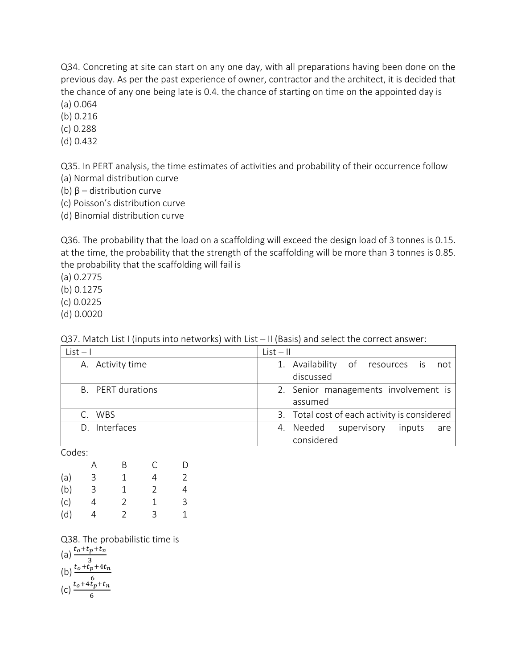Q34. Concreting at site can start on any one day, with all preparations having been done on the previous day. As per the past experience of owner, contractor and the architect, it is decided that the chance of any one being late is 0.4. the chance of starting on time on the appointed day is

(a) 0.064

(b) 0.216

(c) 0.288

(d) 0.432

Q35. In PERT analysis, the time estimates of activities and probability of their occurrence follow

- (a) Normal distribution curve
- (b)  $β$  distribution curve
- (c) Poisson's distribution curve
- (d) Binomial distribution curve

Q36. The probability that the load on a scaffolding will exceed the design load of 3 tonnes is 0.15. at the time, the probability that the strength of the scaffolding will be more than 3 tonnes is 0.85. the probability that the scaffolding will fail is

(a) 0.2775

(b) 0.1275

(c) 0.0225

(d) 0.0020

| $List - 1$               | $List - II$                                          |
|--------------------------|------------------------------------------------------|
| A. Activity time         | 1. Availability of resources is<br>not               |
|                          | discussed                                            |
| <b>B.</b> PERT durations | 2. Senior managements involvement is<br>assumed      |
| C. WBS                   | 3. Total cost of each activity is considered         |
| D. Interfaces            | 4. Needed supervisory<br>inputs<br>are<br>considered |

Q37. Match List I (inputs into networks) with List – II (Basis) and select the correct answer:

Codes:

|     | А | B             | С             | D |
|-----|---|---------------|---------------|---|
| (a) | 3 | 1             | 4             | 2 |
| (b) | 3 | 1             | $\mathcal{P}$ | 4 |
| (c) | 4 | 2             | 1             | 3 |
| (d) | 4 | $\mathcal{P}$ | 3             | 1 |

Q38. The probabilistic time is

$$
(a) \frac{t_0 + t_p + t_n}{3}
$$
  
... 
$$
t_0 + t_n + 4t_n
$$

$$
(b) \frac{t_o + t_p + 4t_n}{6}
$$

$$
(c) \frac{t_0 + 4t_p + t_n}{6}
$$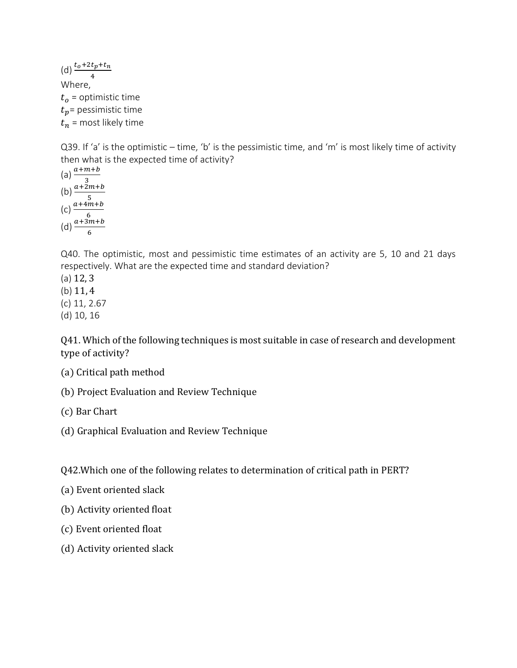(d)  $\frac{t_0 + 2t_p + t_n}{4}$ Where,  $t<sub>o</sub>$  = optimistic time  $t_p$ = pessimistic time  $t_n$  = most likely time

Q39. If 'a' is the optimistic – time, 'b' is the pessimistic time, and 'm' is most likely time of activity then what is the expected time of activity?

(a) 
$$
\frac{a+m+b}{3}
$$
  
\n(b) 
$$
\frac{a+2m+b}{5}
$$
  
\n(c) 
$$
\frac{a+4m+b}{6}
$$
  
\n(d) 
$$
\frac{a+3m+b}{6}
$$

Q40. The optimistic, most and pessimistic time estimates of an activity are 5, 10 and 21 days respectively. What are the expected time and standard deviation?

- (a) 12, 3
- (b) 11, 4
- (c) 11, 2.67
- (d) 10, 16

Q41. Which of the following techniques is most suitable in case of research and development type of activity?

- (a) Critical path method
- (b) Project Evaluation and Review Technique
- (c) Bar Chart
- (d) Graphical Evaluation and Review Technique

Q42.Which one of the following relates to determination of critical path in PERT?

- (a) Event oriented slack
- (b) Activity oriented float
- (c) Event oriented float
- (d) Activity oriented slack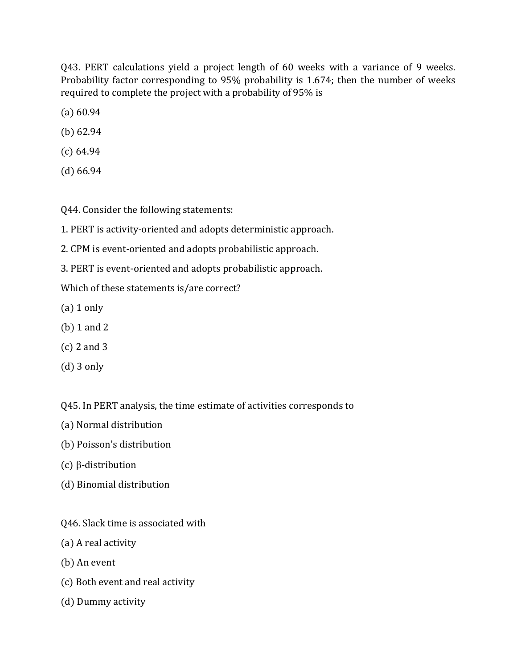Q43. PERT calculations yield a project length of 60 weeks with a variance of 9 weeks. Probability factor corresponding to 95% probability is 1.674; then the number of weeks required to complete the project with a probability of 95% is

(a) 60.94

- (b) 62.94
- (c) 64.94
- (d) 66.94

Q44. Consider the following statements:

- 1. PERT is activity-oriented and adopts deterministic approach.
- 2. CPM is event-oriented and adopts probabilistic approach.
- 3. PERT is event-oriented and adopts probabilistic approach.

Which of these statements is/are correct?

- $(a)$  1 only
- (b) 1 and 2
- (c) 2 and 3
- (d) 3 only

Q45. In PERT analysis, the time estimate of activities corresponds to

- (a) Normal distribution
- (b) Poisson's distribution
- $(c)$   $\beta$ -distribution
- (d) Binomial distribution
- Q46. Slack time is associated with
- (a) A real activity
- (b) An event
- (c) Both event and real activity
- (d) Dummy activity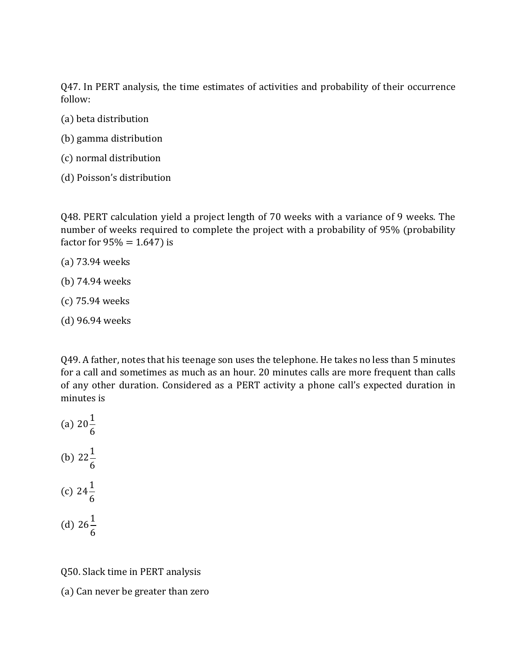Q47. In PERT analysis, the time estimates of activities and probability of their occurrence follow:

- (a) beta distribution
- (b) gamma distribution
- (c) normal distribution
- (d) Poisson's distribution

Q48. PERT calculation yield a project length of 70 weeks with a variance of 9 weeks. The number of weeks required to complete the project with a probability of 95% (probability factor for  $95% = 1.647$ ) is

- (a) 73.94 weeks
- (b) 74.94 weeks
- (c) 75.94 weeks
- (d) 96.94 weeks

Q49. A father, notes that his teenage son uses the telephone. He takes no less than 5 minutes for a call and sometimes as much as an hour. 20 minutes calls are more frequent than calls of any other duration. Considered as a PERT activity a phone call's expected duration in minutes is

(a) 
$$
20\frac{1}{6}
$$
  
\n(b)  $22\frac{1}{6}$   
\n(c)  $24\frac{1}{6}$   
\n(d)  $26\frac{1}{6}$ 

6

Q50. Slack time in PERT analysis

(a) Can never be greater than zero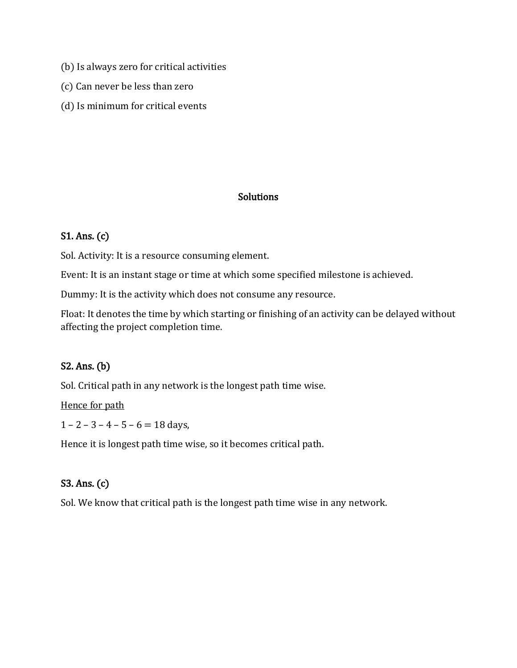- (b) Is always zero for critical activities
- (c) Can never be less than zero
- (d) Is minimum for critical events

### **Solutions**

## S1. Ans. (c)

Sol. Activity: It is a resource consuming element.

Event: It is an instant stage or time at which some specified milestone is achieved.

Dummy: It is the activity which does not consume any resource.

Float: It denotes the time by which starting or finishing of an activity can be delayed without affecting the project completion time.

### S2. Ans. (b)

Sol. Critical path in any network is the longest path time wise.

Hence for path

 $1 - 2 - 3 - 4 - 5 - 6 = 18$  days,

Hence it is longest path time wise, so it becomes critical path.

## S3. Ans. (c)

Sol. We know that critical path is the longest path time wise in any network.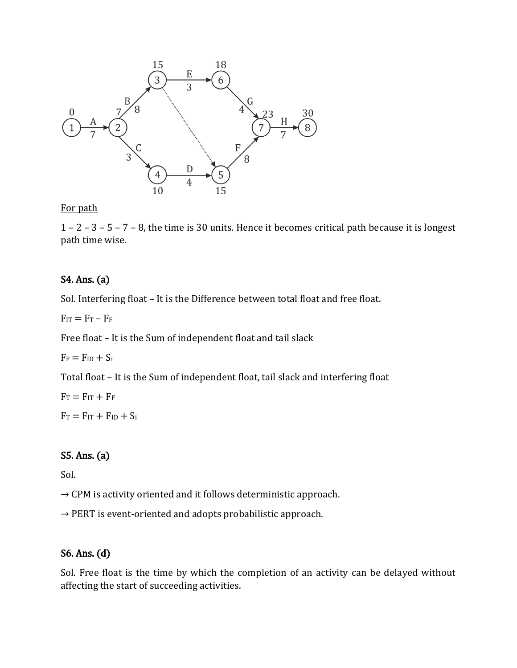

For path

1 – 2 – 3 – 5 – 7 – 8, the time is 30 units. Hence it becomes critical path because it is longest path time wise.

## S4. Ans. (a)

Sol. Interfering float – It is the Difference between total float and free float.

 $F_{IT} = F_T - F_F$ 

Free float – It is the Sum of independent float and tail slack

 $F_F = F_{ID} + S_i$ 

Total float – It is the Sum of independent float, tail slack and interfering float

 $F_T = F_{IT} + F_F$ 

 $F_T = F_{IT} + F_{ID} + S_i$ 

## S5. Ans. (a)

Sol.

 $\rightarrow$  CPM is activity oriented and it follows deterministic approach.

 $\rightarrow$  PERT is event-oriented and adopts probabilistic approach.

### S6. Ans. (d)

Sol. Free float is the time by which the completion of an activity can be delayed without affecting the start of succeeding activities.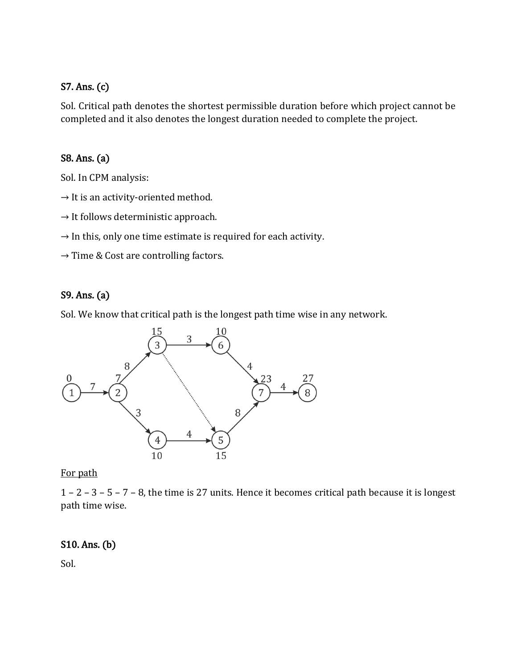## S7. Ans. (c)

Sol. Critical path denotes the shortest permissible duration before which project cannot be completed and it also denotes the longest duration needed to complete the project.

### S8. Ans. (a)

Sol. In CPM analysis:

- $\rightarrow$  It is an activity-oriented method.
- $\rightarrow$  It follows deterministic approach.
- $\rightarrow$  In this, only one time estimate is required for each activity.
- $\rightarrow$  Time & Cost are controlling factors.

## S9. Ans. (a)

Sol. We know that critical path is the longest path time wise in any network.



For path

1 – 2 – 3 – 5 – 7 – 8, the time is 27 units. Hence it becomes critical path because it is longest path time wise.

### S10. Ans. (b)

Sol.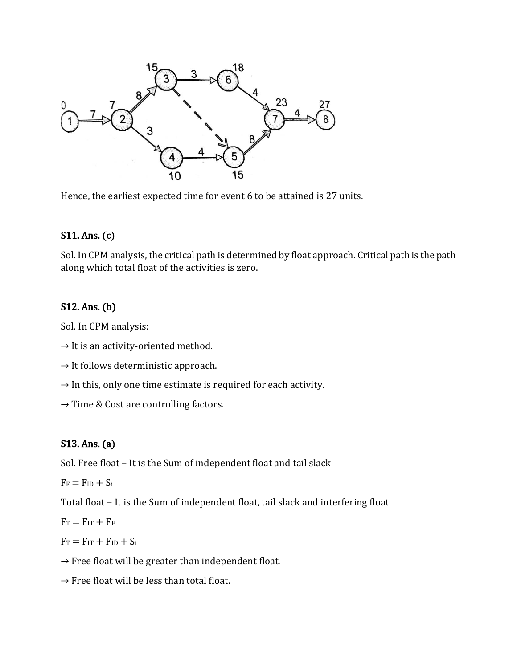

Hence, the earliest expected time for event 6 to be attained is 27 units.

## S11. Ans. (c)

Sol. In CPM analysis, the critical path is determined by float approach. Critical path is the path along which total float of the activities is zero.

## S12. Ans. (b)

Sol. In CPM analysis:

- $\rightarrow$  It is an activity-oriented method.
- $\rightarrow$  It follows deterministic approach.
- $\rightarrow$  In this, only one time estimate is required for each activity.
- $\rightarrow$  Time & Cost are controlling factors.

## S13. Ans. (a)

Sol. Free float – It is the Sum of independent float and tail slack

 $F_F = F_{ID} + S_i$ 

Total float – It is the Sum of independent float, tail slack and interfering float

 $F_T = F_{IT} + F_F$ 

 $F_T = F_{IT} + F_{ID} + S_i$ 

- $\rightarrow$  Free float will be greater than independent float.
- $\rightarrow$  Free float will be less than total float.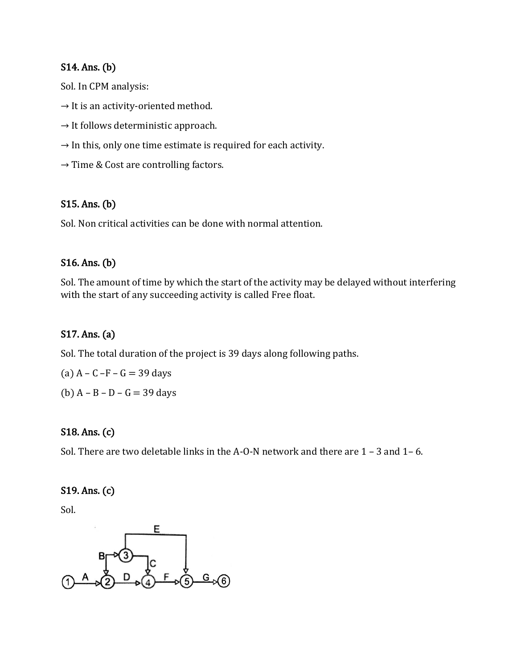#### S14. Ans. (b)

Sol. In CPM analysis:

- $\rightarrow$  It is an activity-oriented method.
- $\rightarrow$  It follows deterministic approach.
- $\rightarrow$  In this, only one time estimate is required for each activity.
- $\rightarrow$  Time & Cost are controlling factors.

### S15. Ans. (b)

Sol. Non critical activities can be done with normal attention.

### S16. Ans. (b)

Sol. The amount of time by which the start of the activity may be delayed without interfering with the start of any succeeding activity is called Free float.

### S17. Ans. (a)

Sol. The total duration of the project is 39 days along following paths.

(a)  $A - C - F - G = 39$  days

(b)  $A - B - D - G = 39$  days

### S18. Ans. (c)

Sol. There are two deletable links in the A-O-N network and there are 1 – 3 and 1– 6.

#### S19. Ans. (c)

Sol.

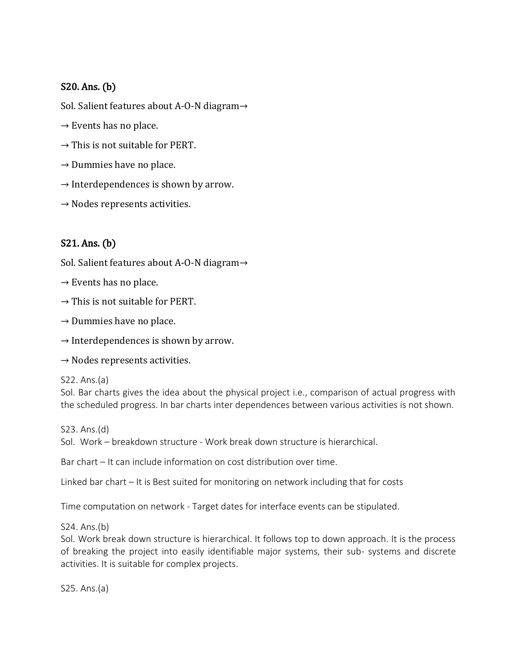## S20. Ans. (b)

Sol. Salient features about A-O-N diagram→

- $\rightarrow$  Events has no place.
- $\rightarrow$  This is not suitable for PERT.
- $\rightarrow$  Dummies have no place.
- $\rightarrow$  Interdependences is shown by arrow.
- $\rightarrow$  Nodes represents activities.

## S21. Ans. (b)

Sol. Salient features about A-O-N diagram→

- $\rightarrow$  Events has no place.
- $\rightarrow$  This is not suitable for PERT.
- $\rightarrow$  Dummies have no place.
- $\rightarrow$  Interdependences is shown by arrow.
- $\rightarrow$  Nodes represents activities.

S22. Ans.(a)

Sol. Bar charts gives the idea about the physical project i.e., comparison of actual progress with the scheduled progress. In bar charts inter dependences between various activities is not shown.

S23. Ans.(d) Sol. Work – breakdown structure - Work break down structure is hierarchical.

Bar chart – It can include information on cost distribution over time.

Linked bar chart – It is Best suited for monitoring on network including that for costs

Time computation on network - Target dates for interface events can be stipulated.

S24. Ans.(b)

Sol. Work break down structure is hierarchical. It follows top to down approach. It is the process of breaking the project into easily identifiable major systems, their sub- systems and discrete activities. It is suitable for complex projects.

S25. Ans.(a)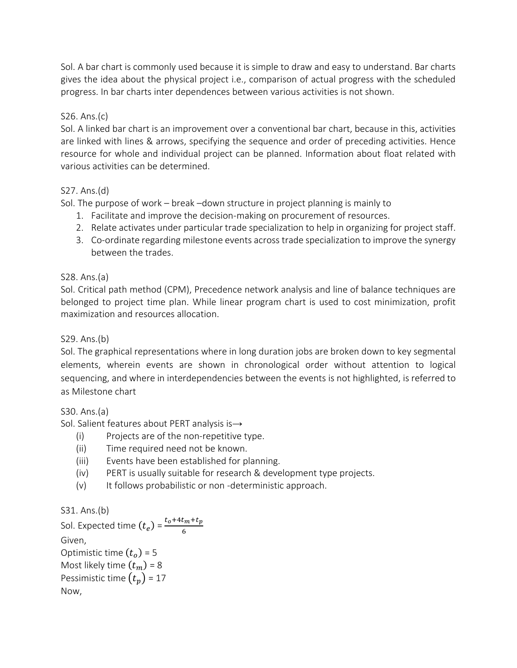Sol. A bar chart is commonly used because it is simple to draw and easy to understand. Bar charts gives the idea about the physical project i.e., comparison of actual progress with the scheduled progress. In bar charts inter dependences between various activities is not shown.

#### S26. Ans.(c)

Sol. A linked bar chart is an improvement over a conventional bar chart, because in this, activities are linked with lines & arrows, specifying the sequence and order of preceding activities. Hence resource for whole and individual project can be planned. Information about float related with various activities can be determined.

#### S27. Ans.(d)

Sol. The purpose of work – break –down structure in project planning is mainly to

- 1. Facilitate and improve the decision-making on procurement of resources.
- 2. Relate activates under particular trade specialization to help in organizing for project staff.
- 3. Co-ordinate regarding milestone events across trade specialization to improve the synergy between the trades.

#### S28. Ans.(a)

Sol. Critical path method (CPM), Precedence network analysis and line of balance techniques are belonged to project time plan. While linear program chart is used to cost minimization, profit maximization and resources allocation.

#### S29. Ans.(b)

Sol. The graphical representations where in long duration jobs are broken down to key segmental elements, wherein events are shown in chronological order without attention to logical sequencing, and where in interdependencies between the events is not highlighted, is referred to as Milestone chart

#### S30. Ans.(a)

Sol. Salient features about PERT analysis is→

- (i) Projects are of the non-repetitive type.
- (ii) Time required need not be known.
- (iii) Events have been established for planning.
- (iv) PERT is usually suitable for research & development type projects.
- (v) It follows probabilistic or non -deterministic approach.

#### S31. Ans.(b)

Sol. Expected time  $(t_e) = \frac{t_o + 4t_m + t_p}{6}$ 6 Given, Optimistic time  $(t_o)$  = 5 Most likely time  $(t_m)$  = 8 Pessimistic time  $(t_p)$  = 17 Now,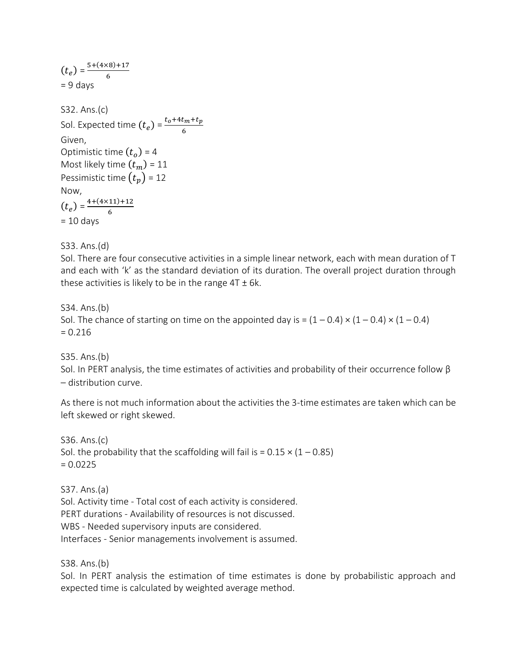$(t_e) = \frac{5+(4\times8)+17}{6}$ 6  $= 9$  days S32. Ans.(c) Sol. Expected time  $(t_e) = \frac{t_o + 4t_m + t_p}{6}$ 6 Given, Optimistic time  $(t_o)$  = 4 Most likely time  $(t_m)$  = 11 Pessimistic time  $(t_n)$  = 12 Now,  $(t_e) = \frac{4+(4\times11)+12}{6}$ 6  $= 10$  days

S33. Ans.(d)

Sol. There are four consecutive activities in a simple linear network, each with mean duration of T and each with 'k' as the standard deviation of its duration. The overall project duration through these activities is likely to be in the range  $4T \pm 6k$ .

S34. Ans.(b)

Sol. The chance of starting on time on the appointed day is =  $(1 - 0.4) \times (1 - 0.4) \times (1 - 0.4)$  $= 0.216$ 

S35. Ans.(b)

Sol. In PERT analysis, the time estimates of activities and probability of their occurrence follow  $β$ – distribution curve.

As there is not much information about the activities the 3-time estimates are taken which can be left skewed or right skewed.

S36. Ans.(c) Sol. the probability that the scaffolding will fail is =  $0.15 \times (1 - 0.85)$  $= 0.0225$ 

S37. Ans.(a)

Sol. Activity time - Total cost of each activity is considered. PERT durations - Availability of resources is not discussed. WBS - Needed supervisory inputs are considered. Interfaces - Senior managements involvement is assumed.

S38. Ans.(b)

Sol. In PERT analysis the estimation of time estimates is done by probabilistic approach and expected time is calculated by weighted average method.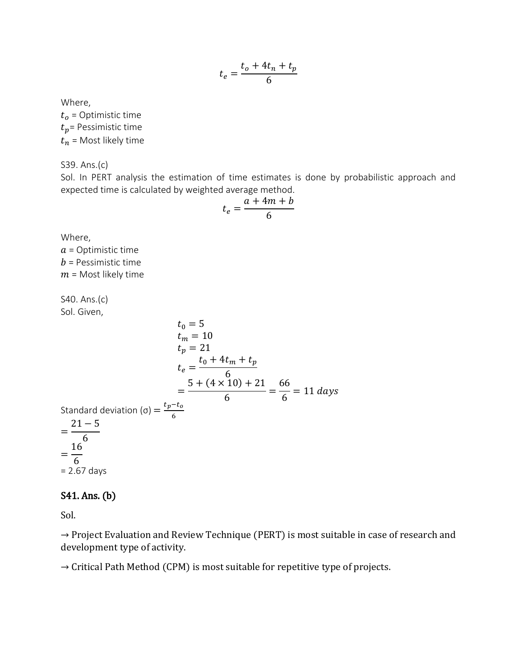$$
t_e = \frac{t_o + 4t_n + t_p}{6}
$$

Where,

 $t_o$  = Optimistic time  $t_p$ = Pessimistic time  $t_n$  = Most likely time

S39. Ans.(c)

Sol. In PERT analysis the estimation of time estimates is done by probabilistic approach and expected time is calculated by weighted average method.

$$
t_e = \frac{a + 4m + b}{6}
$$

Where,

 $a$  = Optimistic time  **= Pessimistic time**  $m =$  Most likely time

S40. Ans.(c) Sol. Given,

$$
t_0 = 5
$$
  
\n
$$
t_m = 10
$$
  
\n
$$
t_p = 21
$$
  
\n
$$
t_e = \frac{t_0 + 4t_m + t_p}{6}
$$
  
\n
$$
= \frac{5 + (4 \times 10) + 21}{6} = \frac{66}{6} = 11 \text{ days}
$$
  
\nStandard deviation (σ) =  $\frac{t_p - t_o}{6}$   
\n
$$
= \frac{21 - 5}{6}
$$
  
\n
$$
= \frac{16}{6}
$$
  
\n= 2.67 days

#### S41. Ans. (b)

Sol.

→ Project Evaluation and Review Technique (PERT) is most suitable in case of research and development type of activity.

 $\rightarrow$  Critical Path Method (CPM) is most suitable for repetitive type of projects.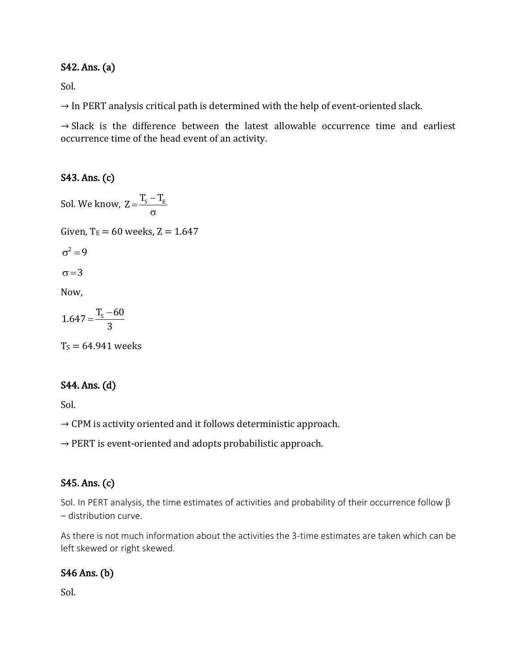### S42. Ans. (a)

Sol.

 $\rightarrow$  In PERT analysis critical path is determined with the help of event-oriented slack.

 $\rightarrow$  Slack is the difference between the latest allowable occurrence time and earliest occurrence time of the head event of an activity.

### S43. Ans. (c)

Sol. We know,  $Z = \frac{T_{\rm S} - T_{\rm E}}{T_{\rm E}}$  $\sigma$ Given,  $T_E = 60$  weeks,  $Z = 1.647$  $\sigma^2 = 9$  $\sigma = 3$ Now,  $1.647 = \frac{T_s - 60}{s}$ 3  $=\frac{T_s-}{2}$ 

 $T<sub>S</sub> = 64.941$  weeks

### S44. Ans. (d)

Sol.

 $\rightarrow$  CPM is activity oriented and it follows deterministic approach.

 $\rightarrow$  PERT is event-oriented and adopts probabilistic approach.

## S45. Ans. (c)

Sol. In PERT analysis, the time estimates of activities and probability of their occurrence follow β – distribution curve.

As there is not much information about the activities the 3-time estimates are taken which can be left skewed or right skewed.

## S46 Ans. (b)

Sol.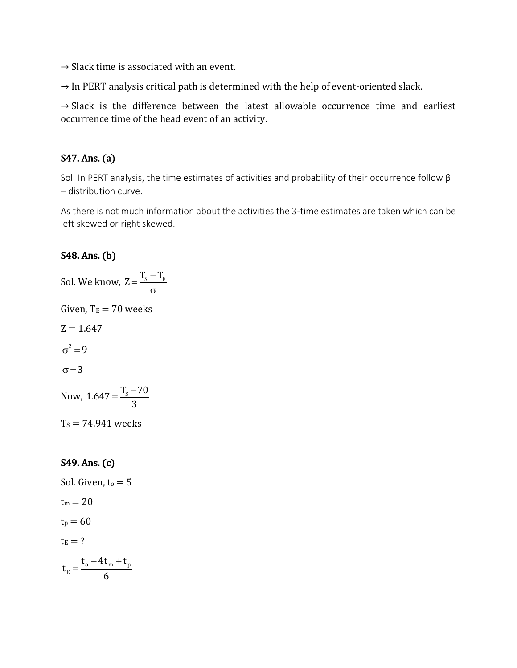$\rightarrow$  Slack time is associated with an event.

 $\rightarrow$  In PERT analysis critical path is determined with the help of event-oriented slack.

 $\rightarrow$  Slack is the difference between the latest allowable occurrence time and earliest occurrence time of the head event of an activity.

## S47. Ans. (a)

Sol. In PERT analysis, the time estimates of activities and probability of their occurrence follow β – distribution curve.

As there is not much information about the activities the 3-time estimates are taken which can be left skewed or right skewed.

## S48. Ans. (b)

Sol. We know,  $Z = \frac{T_{\rm S} - T_{\rm E}}{T_{\rm E}}$  $\sigma$ Given,  $T_E = 70$  weeks  $Z = 1.647$  $\sigma^2 = 9$  $\sigma = 3$ Now,  $1.647 = \frac{T_s - 70}{s}$ 3  $=\frac{T_s-}{T_s}$  $T_s = 74.941$  weeks

## S49. Ans. (c)

Sol. Given, 
$$
t_0 = 5
$$
  
\n $t_m = 20$   
\n $t_p = 60$   
\n $t_E = ?$   
\n $t_E = \frac{t_o + 4t_m + t_p}{6}$